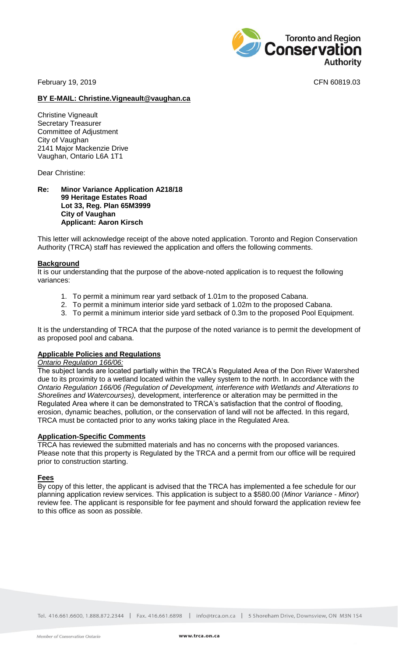February 19, 2019 **CFN** 60819.03

Toronto and Region<br>**Conservation** 

### **BY E-MAIL: Christine.Vigneault@vaughan.ca**

Christine Vigneault Secretary Treasurer Committee of Adjustment City of Vaughan 2141 Major Mackenzie Drive Vaughan, Ontario L6A 1T1

Dear Christine:

#### **Re: Minor Variance Application A218/18 99 Heritage Estates Road Lot 33, Reg. Plan 65M3999 City of Vaughan Applicant: Aaron Kirsch**

This letter will acknowledge receipt of the above noted application. Toronto and Region Conservation Authority (TRCA) staff has reviewed the application and offers the following comments.

### **Background**

It is our understanding that the purpose of the above-noted application is to request the following variances:

- 1. To permit a minimum rear yard setback of 1.01m to the proposed Cabana.
- 2. To permit a minimum interior side yard setback of 1.02m to the proposed Cabana.
- 3. To permit a minimum interior side yard setback of 0.3m to the proposed Pool Equipment.

It is the understanding of TRCA that the purpose of the noted variance is to permit the development of as proposed pool and cabana.

# **Applicable Policies and Regulations**

*Ontario Regulation 166/06:*

The subject lands are located partially within the TRCA's Regulated Area of the Don River Watershed due to its proximity to a wetland located within the valley system to the north. In accordance with the *Ontario Regulation 166/06 (Regulation of Development, interference with Wetlands and Alterations to Shorelines and Watercourses),* development, interference or alteration may be permitted in the Regulated Area where it can be demonstrated to TRCA's satisfaction that the control of flooding, erosion, dynamic beaches, pollution, or the conservation of land will not be affected. In this regard, TRCA must be contacted prior to any works taking place in the Regulated Area.

#### **Application-Specific Comments**

TRCA has reviewed the submitted materials and has no concerns with the proposed variances. Please note that this property is Regulated by the TRCA and a permit from our office will be required prior to construction starting.

# **Fees**

By copy of this letter, the applicant is advised that the TRCA has implemented a fee schedule for our planning application review services. This application is subject to a \$580.00 (*Minor Variance - Minor*) review fee. The applicant is responsible for fee payment and should forward the application review fee to this office as soon as possible.